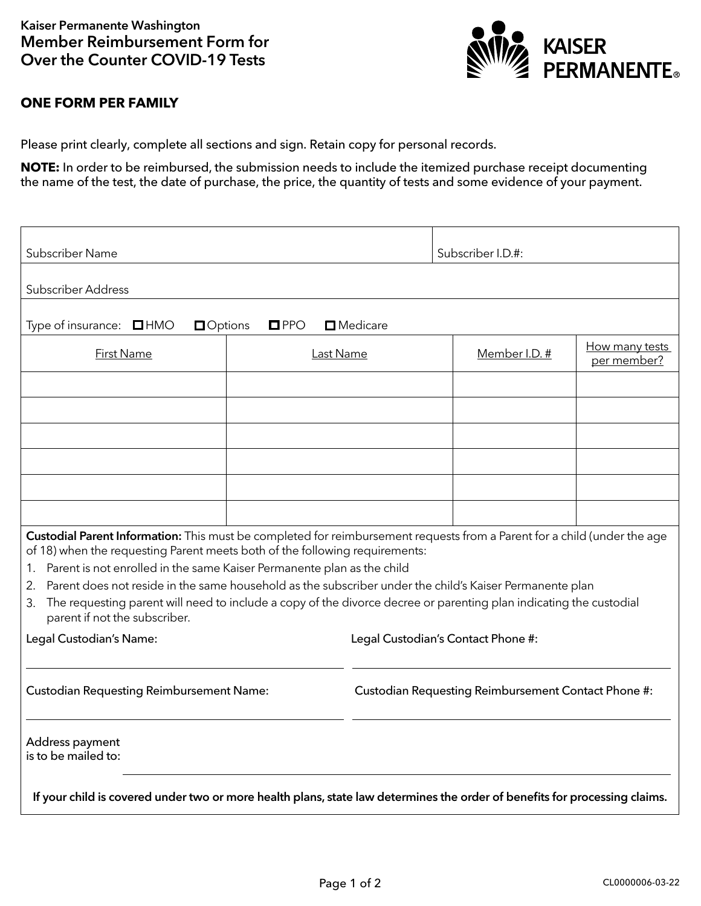

## **ONE FORM PER FAMILY**

Please print clearly, complete all sections and sign. Retain copy for personal records.

**NOTE:** In order to be reimbursed, the submission needs to include the itemized purchase receipt documenting the name of the test, the date of purchase, the price, the quantity of tests and some evidence of your payment.

| Subscriber Name                                                                                                                                                                                                                                                                                                                                                                                                                                                                                                                                                       |                  |                                                     | Subscriber I.D.#: |                               |  |
|-----------------------------------------------------------------------------------------------------------------------------------------------------------------------------------------------------------------------------------------------------------------------------------------------------------------------------------------------------------------------------------------------------------------------------------------------------------------------------------------------------------------------------------------------------------------------|------------------|-----------------------------------------------------|-------------------|-------------------------------|--|
| <b>Subscriber Address</b>                                                                                                                                                                                                                                                                                                                                                                                                                                                                                                                                             |                  |                                                     |                   |                               |  |
| $\square$ Medicare<br>Type of insurance: $\Box$ HMO<br><b>O</b> Options<br>$\square$ PPO                                                                                                                                                                                                                                                                                                                                                                                                                                                                              |                  |                                                     |                   |                               |  |
| <b>First Name</b>                                                                                                                                                                                                                                                                                                                                                                                                                                                                                                                                                     | <b>Last Name</b> |                                                     | Member I.D. #     | How many tests<br>per member? |  |
|                                                                                                                                                                                                                                                                                                                                                                                                                                                                                                                                                                       |                  |                                                     |                   |                               |  |
|                                                                                                                                                                                                                                                                                                                                                                                                                                                                                                                                                                       |                  |                                                     |                   |                               |  |
|                                                                                                                                                                                                                                                                                                                                                                                                                                                                                                                                                                       |                  |                                                     |                   |                               |  |
|                                                                                                                                                                                                                                                                                                                                                                                                                                                                                                                                                                       |                  |                                                     |                   |                               |  |
|                                                                                                                                                                                                                                                                                                                                                                                                                                                                                                                                                                       |                  |                                                     |                   |                               |  |
|                                                                                                                                                                                                                                                                                                                                                                                                                                                                                                                                                                       |                  |                                                     |                   |                               |  |
| Custodial Parent Information: This must be completed for reimbursement requests from a Parent for a child (under the age<br>of 18) when the requesting Parent meets both of the following requirements:<br>Parent is not enrolled in the same Kaiser Permanente plan as the child<br>1.<br>Parent does not reside in the same household as the subscriber under the child's Kaiser Permanente plan<br>2.<br>The requesting parent will need to include a copy of the divorce decree or parenting plan indicating the custodial<br>3.<br>parent if not the subscriber. |                  |                                                     |                   |                               |  |
| Legal Custodian's Name:                                                                                                                                                                                                                                                                                                                                                                                                                                                                                                                                               |                  | Legal Custodian's Contact Phone #:                  |                   |                               |  |
| <b>Custodian Requesting Reimbursement Name:</b>                                                                                                                                                                                                                                                                                                                                                                                                                                                                                                                       |                  | Custodian Requesting Reimbursement Contact Phone #: |                   |                               |  |
| Address payment<br>is to be mailed to:                                                                                                                                                                                                                                                                                                                                                                                                                                                                                                                                |                  |                                                     |                   |                               |  |
| If your child is covered under two or more health plans, state law determines the order of benefits for processing claims.                                                                                                                                                                                                                                                                                                                                                                                                                                            |                  |                                                     |                   |                               |  |